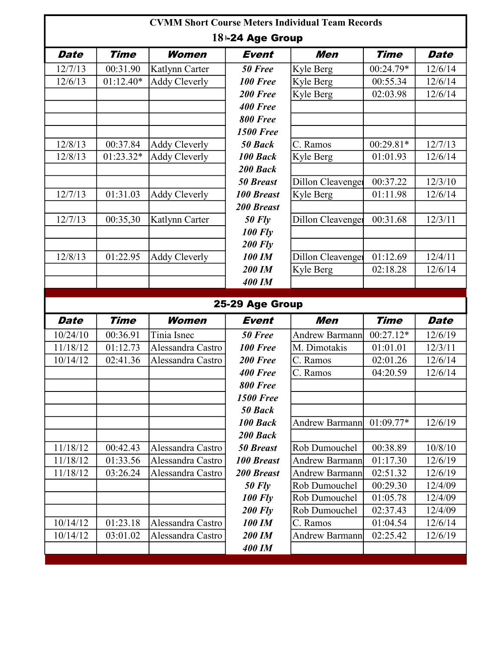| <b>CVMM Short Course Meters Individual Team Records</b> |             |                      |                     |                       |             |             |  |  |
|---------------------------------------------------------|-------------|----------------------|---------------------|-----------------------|-------------|-------------|--|--|
|                                                         |             |                      | $18 - 24$ Age Group |                       |             |             |  |  |
| <b>Date</b>                                             | <b>Time</b> | Women                | Event               | <b>Men</b>            | <b>Time</b> | <b>Date</b> |  |  |
| 12/7/13                                                 | 00:31.90    | Katlynn Carter       | 50 Free             | Kyle Berg             | 00:24.79*   | 12/6/14     |  |  |
| 12/6/13                                                 | $01:12.40*$ | <b>Addy Cleverly</b> | 100 Free            | Kyle Berg             | 00:55.34    | 12/6/14     |  |  |
|                                                         |             |                      | 200 Free            | Kyle Berg             | 02:03.98    | 12/6/14     |  |  |
|                                                         |             |                      | <b>400 Free</b>     |                       |             |             |  |  |
|                                                         |             |                      | 800 Free            |                       |             |             |  |  |
|                                                         |             |                      | <b>1500 Free</b>    |                       |             |             |  |  |
| 12/8/13                                                 | 00:37.84    | <b>Addy Cleverly</b> | 50 Back             | C. Ramos              | 00:29.81*   | 12/7/13     |  |  |
| 12/8/13                                                 | 01:23.32*   | <b>Addy Cleverly</b> | 100 Back            | Kyle Berg             | 01:01.93    | 12/6/14     |  |  |
|                                                         |             |                      | 200 Back            |                       |             |             |  |  |
|                                                         |             |                      | <b>50 Breast</b>    | Dillon Cleavenger     | 00:37.22    | 12/3/10     |  |  |
| 12/7/13                                                 | 01:31.03    | <b>Addy Cleverly</b> | <b>100 Breast</b>   | Kyle Berg             | 01:11.98    | 12/6/14     |  |  |
|                                                         |             |                      | <b>200 Breast</b>   |                       |             |             |  |  |
| 12/7/13                                                 | 00:35,30    | Katlynn Carter       | $50$ Fly            | Dillon Cleavenger     | 00:31.68    | 12/3/11     |  |  |
|                                                         |             |                      | <b>100 Fly</b>      |                       |             |             |  |  |
|                                                         |             |                      | <b>200 Fly</b>      |                       |             |             |  |  |
| 12/8/13                                                 | 01:22.95    | <b>Addy Cleverly</b> | 100 IM              | Dillon Cleavenger     | 01:12.69    | 12/4/11     |  |  |
|                                                         |             |                      | 200 IM              | Kyle Berg             | 02:18.28    | 12/6/14     |  |  |
|                                                         |             |                      | <b>400 IM</b>       |                       |             |             |  |  |
|                                                         |             |                      |                     |                       |             |             |  |  |
|                                                         |             |                      |                     |                       |             |             |  |  |
|                                                         |             |                      | 25-29 Age Group     |                       |             |             |  |  |
| <b>Date</b>                                             | <b>Time</b> | Women                | Event               | <b>Men</b>            | <b>Time</b> | <b>Date</b> |  |  |
| 10/24/10                                                | 00:36.91    | Tinia Isnec          | 50 Free             | Andrew Barmann        | 00:27.12*   | 12/6/19     |  |  |
| 11/18/12                                                | 01:12.73    | Alessandra Castro    | 100 Free            | M. Dimotakis          | 01:01.01    | 12/3/11     |  |  |
| 10/14/12                                                | 02:41.36    | Alessandra Castro    | 200 Free            | C. Ramos              | 02:01.26    | 12/6/14     |  |  |
|                                                         |             |                      | <b>400 Free</b>     | C. Ramos              | 04:20.59    | 12/6/14     |  |  |
|                                                         |             |                      | <b>800 Free</b>     |                       |             |             |  |  |
|                                                         |             |                      | <b>1500 Free</b>    |                       |             |             |  |  |
|                                                         |             |                      | 50 Back             |                       |             |             |  |  |
|                                                         |             |                      | 100 Back            | <b>Andrew Barmann</b> | 01:09.77*   | 12/6/19     |  |  |
|                                                         |             |                      | 200 Back            |                       |             |             |  |  |
| 11/18/12                                                | 00:42.43    | Alessandra Castro    | <b>50 Breast</b>    | Rob Dumouchel         | 00:38.89    | 10/8/10     |  |  |
| 11/18/12                                                | 01:33.56    | Alessandra Castro    | <b>100 Breast</b>   | <b>Andrew Barmann</b> | 01:17.30    | 12/6/19     |  |  |
| 11/18/12                                                | 03:26.24    | Alessandra Castro    | <b>200 Breast</b>   | <b>Andrew Barmann</b> | 02:51.32    | 12/6/19     |  |  |
|                                                         |             |                      | $50$ Fly            | Rob Dumouchel         | 00:29.30    | 12/4/09     |  |  |
|                                                         |             |                      | <b>100 Fly</b>      | Rob Dumouchel         | 01:05.78    | 12/4/09     |  |  |
|                                                         |             |                      | <b>200 Fly</b>      | Rob Dumouchel         | 02:37.43    | 12/4/09     |  |  |
| 10/14/12                                                | 01:23.18    | Alessandra Castro    | <b>100 IM</b>       | C. Ramos              | 01:04.54    | 12/6/14     |  |  |
| 10/14/12                                                | 03:01.02    | Alessandra Castro    | 200 IM<br>400 IM    | <b>Andrew Barmann</b> | 02:25.42    | 12/6/19     |  |  |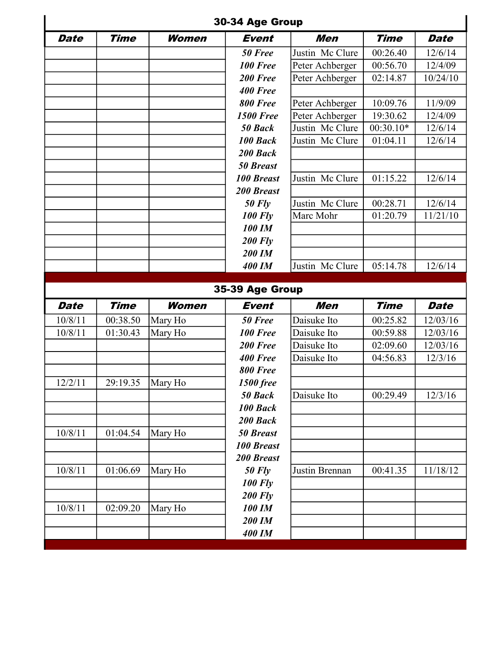|             |             |         | 30-34 Age Group   |                 |             |             |
|-------------|-------------|---------|-------------------|-----------------|-------------|-------------|
| <b>Date</b> | <b>Time</b> | Women   | <b>Event</b>      | Men             | <b>Time</b> | <b>Date</b> |
|             |             |         | 50 Free           | Justin Mc Clure | 00:26.40    | 12/6/14     |
|             |             |         | <b>100 Free</b>   | Peter Achberger | 00:56.70    | 12/4/09     |
|             |             |         | 200 Free          | Peter Achberger | 02:14.87    | 10/24/10    |
|             |             |         | 400 Free          |                 |             |             |
|             |             |         | <b>800 Free</b>   | Peter Achberger | 10:09.76    | 11/9/09     |
|             |             |         | <b>1500 Free</b>  | Peter Achberger | 19:30.62    | 12/4/09     |
|             |             |         | 50 Back           | Justin Mc Clure | 00:30.10*   | 12/6/14     |
|             |             |         | 100 Back          | Justin Mc Clure | 01:04.11    | 12/6/14     |
|             |             |         | 200 Back          |                 |             |             |
|             |             |         | <b>50 Breast</b>  |                 |             |             |
|             |             |         | <b>100 Breast</b> | Justin Mc Clure | 01:15.22    | 12/6/14     |
|             |             |         | <b>200 Breast</b> |                 |             |             |
|             |             |         | $50$ Fly          | Justin Mc Clure | 00:28.71    | 12/6/14     |
|             |             |         | <b>100 Fly</b>    | Marc Mohr       | 01:20.79    | 11/21/10    |
|             |             |         | 100 IM            |                 |             |             |
|             |             |         | <b>200 Fly</b>    |                 |             |             |
|             |             |         | 200 IM            |                 |             |             |
|             |             |         | 400 IM            | Justin Mc Clure | 05:14.78    | 12/6/14     |
|             |             |         | 35-39 Age Group   |                 |             |             |
| <b>Date</b> | <b>Time</b> | Women   | Event             | <b>Men</b>      | <b>Time</b> | Date        |
| 10/8/11     | 00:38.50    | Mary Ho | 50 Free           | Daisuke Ito     | 00:25.82    | 12/03/16    |
| 10/8/11     | 01:30.43    | Mary Ho | <b>100 Free</b>   | Daisuke Ito     | 00:59.88    | 12/03/16    |
|             |             |         | 200 Free          | Daisuke Ito     | 02:09.60    | 12/03/16    |
|             |             |         | 400 Free          | Daisuke Ito     | 04:56.83    | 12/3/16     |
|             |             |         | <b>800 Free</b>   |                 |             |             |
| 12/2/11     | 29:19.35    | Mary Ho | <b>1500 free</b>  |                 |             |             |
|             |             |         | 50 Back           | Daisuke Ito     | 00:29.49    | 12/3/16     |
|             |             |         | 100 Back          |                 |             |             |
|             |             |         | 200 Back          |                 |             |             |
| 10/8/11     | 01:04.54    | Mary Ho | <b>50 Breast</b>  |                 |             |             |
|             |             |         | <b>100 Breast</b> |                 |             |             |
|             |             |         | <b>200 Breast</b> |                 |             |             |
| 10/8/11     | 01:06.69    | Mary Ho | $50$ Fly          | Justin Brennan  | 00:41.35    | 11/18/12    |
|             |             |         | <b>100 Fly</b>    |                 |             |             |
|             |             |         | <b>200 Fly</b>    |                 |             |             |
| 10/8/11     | 02:09.20    | Mary Ho | <b>100 IM</b>     |                 |             |             |
|             |             |         | 200 IM            |                 |             |             |
|             |             |         | <b>400 IM</b>     |                 |             |             |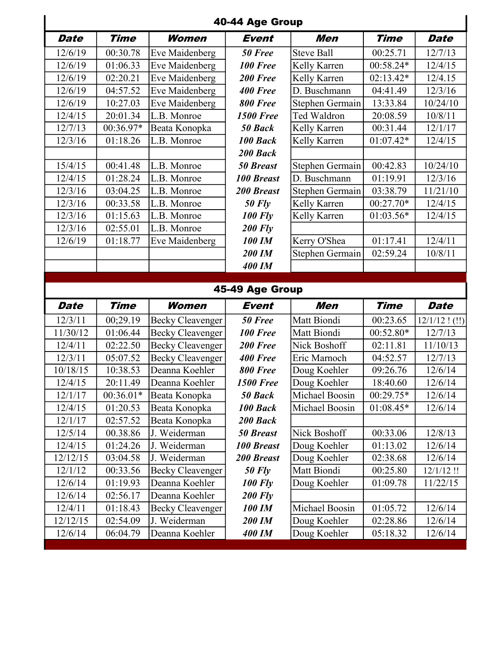|             |             |                                                    | 40-44 Age Group   |                   |             |                             |
|-------------|-------------|----------------------------------------------------|-------------------|-------------------|-------------|-----------------------------|
| <b>Date</b> | <b>Time</b> | <b>Women</b>                                       | <b>Event</b>      | Men               | <b>Time</b> | <b>Date</b>                 |
| 12/6/19     | 00:30.78    | Eve Maidenberg                                     | 50 Free           | <b>Steve Ball</b> | 00:25.71    | 12/7/13                     |
| 12/6/19     | 01:06.33    | Eve Maidenberg                                     | 100 Free          | Kelly Karren      | 00:58.24*   | 12/4/15                     |
| 12/6/19     | 02:20.21    | Eve Maidenberg                                     | 200 Free          | Kelly Karren      | 02:13.42*   | 12/4.15                     |
| 12/6/19     | 04:57.52    | Eve Maidenberg                                     | <b>400 Free</b>   | D. Buschmann      | 04:41.49    | 12/3/16                     |
| 12/6/19     | 10:27.03    | Eve Maidenberg                                     | 800 Free          | Stephen Germain   | 13:33.84    | 10/24/10                    |
| 12/4/15     | 20:01.34    | L.B. Monroe                                        | <b>1500 Free</b>  | Ted Waldron       | 20:08.59    | 10/8/11                     |
| 12/7/13     | 00:36.97*   | Beata Konopka                                      | 50 Back           | Kelly Karren      | 00:31.44    | 12/1/17                     |
| 12/3/16     | 01:18.26    | L.B. Monroe                                        | 100 Back          | Kelly Karren      | 01:07.42*   | 12/4/15                     |
|             |             |                                                    | 200 Back          |                   |             |                             |
| 15/4/15     | 00:41.48    | L.B. Monroe                                        | <b>50 Breast</b>  | Stephen Germain   | 00:42.83    | 10/24/10                    |
| 12/4/15     | 01:28.24    | L.B. Monroe                                        | <b>100 Breast</b> | D. Buschmann      | 01:19.91    | 12/3/16                     |
| 12/3/16     | 03:04.25    | L.B. Monroe                                        | <b>200 Breast</b> | Stephen Germain   | 03:38.79    | 11/21/10                    |
| 12/3/16     | 00:33.58    | L.B. Monroe                                        | $50$ Fly          | Kelly Karren      | 00:27.70*   | 12/4/15                     |
| 12/3/16     | 01:15.63    | L.B. Monroe                                        | <b>100 Fly</b>    | Kelly Karren      | $01:03.56*$ | 12/4/15                     |
| 12/3/16     | 02:55.01    | L.B. Monroe                                        | <b>200 Fly</b>    |                   |             |                             |
| 12/6/19     | 01:18.77    | Eve Maidenberg                                     | <b>100 IM</b>     | Kerry O'Shea      | 01:17.41    | 12/4/11                     |
|             |             |                                                    | 200 IM            | Stephen Germain   | 02:59.24    | 10/8/11                     |
|             |             |                                                    | <b>400 IM</b>     |                   |             |                             |
|             |             |                                                    |                   |                   |             |                             |
|             |             |                                                    | 45-49 Age Group   |                   |             |                             |
| <b>Date</b> | Time        | Women                                              | <b>Event</b>      | Men               | <b>Time</b> | <b>Date</b>                 |
| 12/3/11     | 00;29.19    |                                                    | 50 Free           | Matt Biondi       | 00:23.65    |                             |
| 11/30/12    | 01:06.44    | <b>Becky Cleavenger</b>                            | <b>100 Free</b>   | Matt Biondi       | 00:52.80*   | 12/7/13                     |
| 12/4/11     | 02:22.50    | <b>Becky Cleavenger</b>                            | 200 Free          | Nick Boshoff      | 02:11.81    | 11/10/13                    |
| 12/3/11     | 05:07.52    | <b>Becky Cleavenger</b><br><b>Becky Cleavenger</b> | <b>400 Free</b>   | Eric Marnoch      | 04:52.57    | 12/7/13                     |
| 10/18/15    | 10:38.53    | Deanna Koehler                                     | 800 Free          | Doug Koehler      | 09:26.76    | 12/6/14                     |
| 12/4/15     | 20:11.49    | Deanna Koehler                                     | <b>1500 Free</b>  | Doug Koehler      | 18:40.60    | 12/6/14                     |
| 12/1/17     | $00:36.01*$ | Beata Konopka                                      | 50 Back           | Michael Boosin    | $00:29.75*$ | 12/6/14                     |
| 12/4/15     | 01:20.53    | Beata Konopka                                      | 100 Back          | Michael Boosin    | $01:08.45*$ | 12/6/14                     |
| 12/1/17     | 02:57.52    | Beata Konopka                                      | 200 Back          |                   |             |                             |
| 12/5/14     | 00.38.86    | J. Weiderman                                       | <b>50 Breast</b>  | Nick Boshoff      | 00:33.06    | 12/8/13                     |
| 12/4/15     | 01:24.26    | J. Weiderman                                       | <b>100 Breast</b> | Doug Koehler      | 01:13.02    | 12/6/14                     |
| 12/12/15    | 03:04.58    | J. Weiderman                                       | <b>200 Breast</b> | Doug Koehler      | 02:38.68    | 12/6/14                     |
| 12/1/12     | 00:33.56    | <b>Becky Cleavenger</b>                            | <b>50 Fly</b>     | Matt Biondi       | 00:25.80    | 12/1/12!                    |
| 12/6/14     | 01:19.93    | Deanna Koehler                                     | <b>100 Fly</b>    | Doug Koehler      | 01:09.78    | 11/22/15                    |
| 12/6/14     | 02:56.17    | Deanna Koehler                                     | <b>200 Fly</b>    |                   |             |                             |
| 12/4/11     | 01:18.43    | <b>Becky Cleavenger</b>                            | <b>100 IM</b>     | Michael Boosin    | 01:05.72    | 12/6/14                     |
| 12/12/15    | 02:54.09    | J. Weiderman                                       | 200 IM            | Doug Koehler      | 02:28.86    | $12/1/12$ ! (!!)<br>12/6/14 |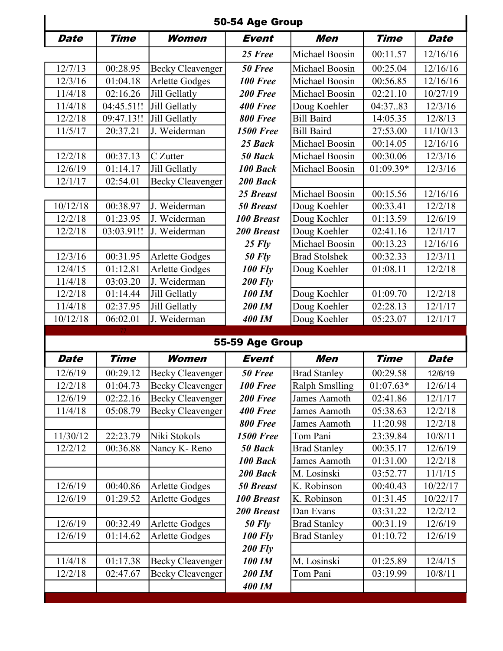|             |             |                         | 50-54 Age Group   |                       |             |             |
|-------------|-------------|-------------------------|-------------------|-----------------------|-------------|-------------|
| <b>Date</b> | <b>Time</b> | Women                   | <b>Event</b>      | Men                   | <b>Time</b> | <b>Date</b> |
|             |             |                         | 25 Free           | Michael Boosin        | 00:11.57    | 12/16/16    |
| 12/7/13     | 00:28.95    | <b>Becky Cleavenger</b> | 50 Free           | Michael Boosin        | 00:25.04    | 12/16/16    |
| 12/3/16     | 01:04.18    | <b>Arlette Godges</b>   | 100 Free          | Michael Boosin        | 00:56.85    | 12/16/16    |
| 11/4/18     | 02:16.26    | Jill Gellatly           | 200 Free          | Michael Boosin        | 02:21.10    | 10/27/19    |
| 11/4/18     | 04:45.51!!  | Jill Gellatly           | 400 Free          | Doug Koehler          | 04:3783     | 12/3/16     |
| 12/2/18     | 09:47.13!!  | Jill Gellatly           | <b>800 Free</b>   | <b>Bill Baird</b>     | 14:05.35    | 12/8/13     |
| 11/5/17     | 20:37.21    | J. Weiderman            | <b>1500 Free</b>  | <b>Bill Baird</b>     | 27:53.00    | 11/10/13    |
|             |             |                         | 25 Back           | Michael Boosin        | 00:14.05    | 12/16/16    |
| 12/2/18     | 00:37.13    | C Zutter                | 50 Back           | Michael Boosin        | 00:30.06    | 12/3/16     |
| 12/6/19     | 01:14.17    | Jill Gellatly           | 100 Back          | Michael Boosin        | 01:09.39*   | 12/3/16     |
| 12/1/17     | 02:54.01    | <b>Becky Cleavenger</b> | 200 Back          |                       |             |             |
|             |             |                         | 25 Breast         | Michael Boosin        | 00:15.56    | 12/16/16    |
| 10/12/18    | 00:38.97    | J. Weiderman            | <b>50 Breast</b>  | Doug Koehler          | 00:33.41    | 12/2/18     |
| 12/2/18     | 01:23.95    | J. Weiderman            | <b>100 Breast</b> | Doug Koehler          | 01:13.59    | 12/6/19     |
| 12/2/18     | 03:03.91!!  | J. Weiderman            | <b>200 Breast</b> | Doug Koehler          | 02:41.16    | 12/1/17     |
|             |             |                         | $25$ Fly          | Michael Boosin        | 00:13.23    | 12/16/16    |
| 12/3/16     | 00:31.95    | <b>Arlette Godges</b>   | <b>50 Fly</b>     | <b>Brad Stolshek</b>  | 00:32.33    | 12/3/11     |
| 12/4/15     | 01:12.81    | <b>Arlette Godges</b>   | <b>100 Fly</b>    | Doug Koehler          | 01:08.11    | 12/2/18     |
| 11/4/18     | 03:03.20    | J. Weiderman            | <b>200 Fly</b>    |                       |             |             |
| 12/2/18     | 01:14.44    | Jill Gellatly           | <b>100 IM</b>     | Doug Koehler          | 01:09.70    | 12/2/18     |
| 11/4/18     | 02:37.95    | Jill Gellatly           | 200 IM            | Doug Koehler          | 02:28.13    | 12/1/17     |
| 10/12/18    | 06:02.01    | J. Weiderman            | <b>400 IM</b>     | Doug Koehler          | 05:23.07    | 12/1/17     |
|             |             |                         | 55-59 Age Group   |                       |             |             |
| <b>Date</b> | <b>Time</b> | Women                   | <b>Event</b>      | Men                   | Time        | Date        |
| 12/6/19     | 00:29.12    | Becky Cleavenger        | 50 Free           | <b>Brad Stanley</b>   | 00:29.58    | 12/6/19     |
| 12/2/18     | 01:04.73    | <b>Becky Cleavenger</b> | <b>100 Free</b>   | <b>Ralph Smslling</b> | $01:07.63*$ | 12/6/14     |
| 12/6/19     | 02:22.16    | <b>Becky Cleavenger</b> | 200 Free          | James Aamoth          | 02:41.86    | 12/1/17     |
| 11/4/18     | 05:08.79    | <b>Becky Cleavenger</b> | 400 Free          | James Aamoth          | 05:38.63    | 12/2/18     |
|             |             |                         | <b>800 Free</b>   | James Aamoth          | 11:20.98    | 12/2/18     |
| 11/30/12    | 22:23.79    | Niki Stokols            | <b>1500 Free</b>  | Tom Pani              | 23:39.84    | 10/8/11     |
| 12/2/12     | 00:36.88    | Nancy K-Reno            | 50 Back           | <b>Brad Stanley</b>   | 00:35.17    | 12/6/19     |
|             |             |                         | 100 Back          | James Aamoth          | 01:31.00    | 12/2/18     |
|             |             |                         | 200 Back          | M. Losinski           | 03:52.77    | 11/1/15     |
| 12/6/19     | 00:40.86    | <b>Arlette Godges</b>   | <b>50 Breast</b>  | K. Robinson           | 00:40.43    | 10/22/17    |
| 12/6/19     | 01:29.52    | <b>Arlette Godges</b>   | <b>100 Breast</b> | K. Robinson           | 01:31.45    | 10/22/17    |

12/6/19 00:32.49 Arlette Godges 50 Fly Brad Stanley 00:31.19 12/6/19<br>12/6/19 01:14.62 Arlette Godges 100 Fly Brad Stanley 01:10.72 12/6/19

200 Fly 11/4/18 01:17.38 Becky Cleavenger 100 IM M. Losinski 01:25.89 12/4/15 12/2/18 02:47.67 Becky Cleavenger 200 IM Tom Pani 03:19.99 10/8/11 400 IM

01:14.62 Arlette Godges 100 Fly Brad Stanley 01:10.72 12/6/19

200 Breast Dan Evans | 03:31.22 | 12/2/12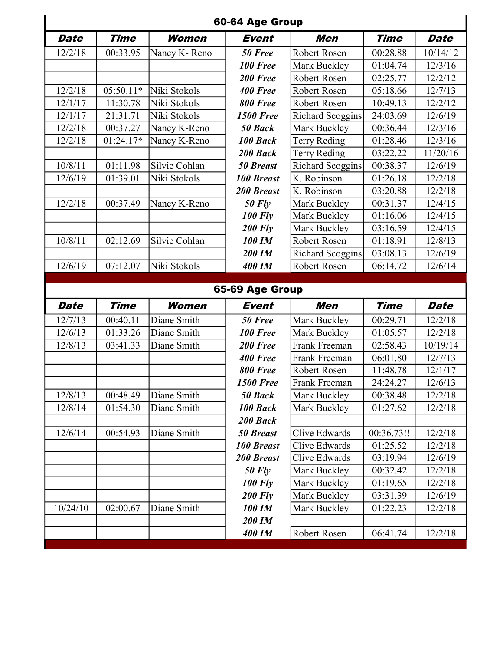|             |             |               | 60-64 Age Group   |                         |             |             |
|-------------|-------------|---------------|-------------------|-------------------------|-------------|-------------|
| <b>Date</b> | <b>Time</b> | Women         | <b>Event</b>      | Men                     | <b>Time</b> | <b>Date</b> |
| 12/2/18     | 00:33.95    | Nancy K-Reno  | 50 Free           | <b>Robert Rosen</b>     | 00:28.88    | 10/14/12    |
|             |             |               | <b>100 Free</b>   | Mark Buckley            | 01:04.74    | 12/3/16     |
|             |             |               | 200 Free          | Robert Rosen            | 02:25.77    | 12/2/12     |
| 12/2/18     | $05:50.11*$ | Niki Stokols  | <b>400 Free</b>   | Robert Rosen            | 05:18.66    | 12/7/13     |
| 12/1/17     | 11:30.78    | Niki Stokols  | <b>800 Free</b>   | Robert Rosen            | 10:49.13    | 12/2/12     |
| 12/1/17     | 21:31.71    | Niki Stokols  | <b>1500 Free</b>  | Richard Scoggins        | 24:03.69    | 12/6/19     |
| 12/2/18     | 00:37.27    | Nancy K-Reno  | 50 Back           | <b>Mark Buckley</b>     | 00:36.44    | 12/3/16     |
| 12/2/18     | 01:24.17*   | Nancy K-Reno  | 100 Back          | <b>Terry Reding</b>     | 01:28.46    | 12/3/16     |
|             |             |               | 200 Back          | Terry Reding            | 03:22.22    | 11/20/16    |
| 10/8/11     | 01:11.98    | Silvie Cohlan | <b>50 Breast</b>  | <b>Richard Scoggins</b> | 00:38.37    | 12/6/19     |
| 12/6/19     | 01:39.01    | Niki Stokols  | <b>100 Breast</b> | K. Robinson             | 01:26.18    | 12/2/18     |
|             |             |               | <b>200 Breast</b> | K. Robinson             | 03:20.88    | 12/2/18     |
| 12/2/18     | 00:37.49    | Nancy K-Reno  | $50$ Fly          | Mark Buckley            | 00:31.37    | 12/4/15     |
|             |             |               | <b>100 Fly</b>    | Mark Buckley            | 01:16.06    | 12/4/15     |
|             |             |               | <b>200 Fly</b>    | Mark Buckley            | 03:16.59    | 12/4/15     |
| 10/8/11     | 02:12.69    | Silvie Cohlan | <b>100 IM</b>     | Robert Rosen            | 01:18.91    | 12/8/13     |
|             |             |               | 200 IM            | Richard Scoggins        | 03:08.13    | 12/6/19     |
| 12/6/19     | 07:12.07    | Niki Stokols  | <b>400 IM</b>     | Robert Rosen            | 06:14.72    | 12/6/14     |
|             |             |               |                   |                         |             |             |
|             |             |               | 65-69 Age Group   |                         |             |             |
| <b>Date</b> | <b>Time</b> | Women         | <b>Event</b>      | <b>Men</b>              | <b>Time</b> | <b>Date</b> |
| 12/7/13     | 00:40.11    | Diane Smith   | 50 Free           | Mark Buckley            | 00:29.71    | 12/2/18     |
| 12/6/13     | 01:33.26    | Diane Smith   | 100 Free          | Mark Buckley            | 01:05.57    | 12/2/18     |
| 12/8/13     | 03:41.33    | Diane Smith   | 200 Free          | Frank Freeman           | 02:58.43    | 10/19/14    |
|             |             |               | 400 Free          | Frank Freeman           | 06:01.80    | 12/7/13     |
|             |             |               | <b>800 Free</b>   | Robert Rosen            | 11:48.78    | 12/1/17     |
|             |             |               | <b>1500 Free</b>  | Frank Freeman           | 24:24.27    | 12/6/13     |
| 12/8/13     | 00:48.49    | Diane Smith   | 50 Back           | Mark Buckley            | 00:38.48    | 12/2/18     |
| 12/8/14     | 01:54.30    | Diane Smith   | 100 Back          | Mark Buckley            | 01:27.62    | 12/2/18     |
|             |             |               | 200 Back          |                         |             |             |
| 12/6/14     | 00:54.93    | Diane Smith   | <b>50 Breast</b>  | Clive Edwards           | 00:36.73!!  | 12/2/18     |
|             |             |               | <b>100 Breast</b> | Clive Edwards           | 01:25.52    | 12/2/18     |
|             |             |               | <b>200 Breast</b> | <b>Clive Edwards</b>    | 03:19.94    | 12/6/19     |
|             |             |               | <b>50 Fly</b>     | Mark Buckley            | 00:32.42    | 12/2/18     |
|             |             |               | <b>100 Fly</b>    | Mark Buckley            | 01:19.65    | 12/2/18     |
|             |             |               | <b>200 Fly</b>    | Mark Buckley            | 03:31.39    | 12/6/19     |
| 10/24/10    | 02:00.67    | Diane Smith   | <b>100 IM</b>     | Mark Buckley            | 01:22.23    | 12/2/18     |
|             |             |               | 200 IM            | Robert Rosen            |             |             |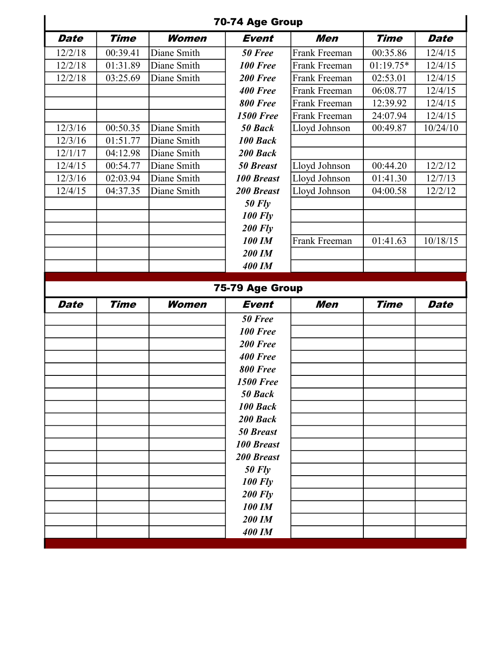|             |             |              | 70-74 Age Group         |               |             |             |
|-------------|-------------|--------------|-------------------------|---------------|-------------|-------------|
| <b>Date</b> | <b>Time</b> | Women        | <b>Event</b>            | Men           | <b>Time</b> | <b>Date</b> |
| 12/2/18     | 00:39.41    | Diane Smith  | 50 Free                 | Frank Freeman | 00:35.86    | 12/4/15     |
| 12/2/18     | 01:31.89    | Diane Smith  | 100 Free                | Frank Freeman | $01:19.75*$ | 12/4/15     |
| 12/2/18     | 03:25.69    | Diane Smith  | 200 Free                | Frank Freeman | 02:53.01    | 12/4/15     |
|             |             |              | 400 Free                | Frank Freeman | 06:08.77    | 12/4/15     |
|             |             |              | <b>800 Free</b>         | Frank Freeman | 12:39.92    | 12/4/15     |
|             |             |              | <b>1500 Free</b>        | Frank Freeman | 24:07.94    | 12/4/15     |
| 12/3/16     | 00:50.35    | Diane Smith  | 50 Back                 | Lloyd Johnson | 00:49.87    | 10/24/10    |
| 12/3/16     | 01:51.77    | Diane Smith  | 100 Back                |               |             |             |
| 12/1/17     | 04:12.98    | Diane Smith  | 200 Back                |               |             |             |
| 12/4/15     | 00:54.77    | Diane Smith  | <b>50 Breast</b>        | Lloyd Johnson | 00:44.20    | 12/2/12     |
| 12/3/16     | 02:03.94    | Diane Smith  | <b>100 Breast</b>       | Lloyd Johnson | 01:41.30    | 12/7/13     |
| 12/4/15     | 04:37.35    | Diane Smith  | <b>200 Breast</b>       | Lloyd Johnson | 04:00.58    | 12/2/12     |
|             |             |              | $50$ Fly                |               |             |             |
|             |             |              | <b>100 Fly</b>          |               |             |             |
|             |             |              | <b>200 Fly</b>          |               |             |             |
|             |             |              | <b>100 IM</b>           | Frank Freeman | 01:41.63    | 10/18/15    |
|             |             |              | <b>200 IM</b>           |               |             |             |
|             |             |              | <b>400 IM</b>           |               |             |             |
|             |             |              |                         |               |             |             |
|             |             |              | 75-79 Age Group         |               |             |             |
| Date        | <b>Time</b> | <b>Women</b> | <b>Event</b>            | Men           | <b>Time</b> | <b>Date</b> |
|             |             |              | 50 Free                 |               |             |             |
|             |             |              | 100 Free                |               |             |             |
|             |             |              | 200 Free                |               |             |             |
|             |             |              | 400 Free                |               |             |             |
|             |             |              | 800 Free                |               |             |             |
|             |             |              | <b>1500 Free</b>        |               |             |             |
|             |             |              | 50 Back                 |               |             |             |
|             |             |              | 100 Back                |               |             |             |
|             |             |              | 200 Back                |               |             |             |
|             |             |              | <b>50 Breast</b>        |               |             |             |
|             |             |              | <b>100 Breast</b>       |               |             |             |
|             |             |              | <b>200 Breast</b>       |               |             |             |
|             |             |              | $50$ Fly                |               |             |             |
|             |             |              | <b>100 Fly</b>          |               |             |             |
|             |             |              | <b>200 Fly</b>          |               |             |             |
|             |             |              | 100 IM                  |               |             |             |
|             |             |              | 200 IM<br><b>400 IM</b> |               |             |             |